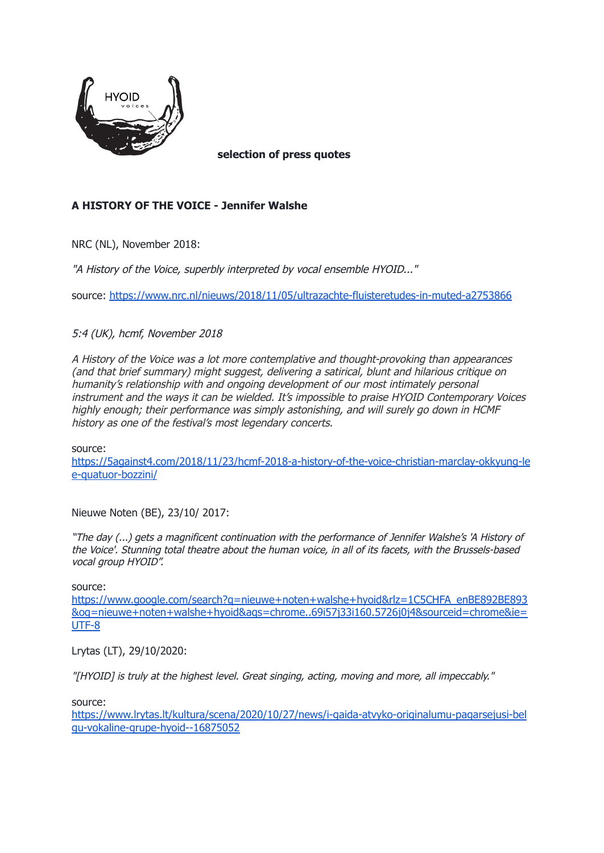

**selection of press quotes**

## **A HISTORY OF THE VOICE - Jennifer Walshe**

NRC (NL), November 2018:

"A History of the Voice, superbly interpreted by vocal ensemble HYOID..."

source: <https://www.nrc.nl/nieuws/2018/11/05/ultrazachte-fluisteretudes-in-muted-a2753866>

5:4 (UK), hcmf, November 2018

A History of the Voice was a lot more contemplative and thought-provoking than appearances (and that brief summary) might suggest, delivering a satirical, blunt and hilarious critique on humanity's relationship with and ongoing development of our most intimately personal instrument and the ways it can be wielded. It's impossible to praise HYOID Contemporary Voices highly enough; their performance was simply astonishing, and will surely go down in HCMF history as one of the festival's most legendary concerts.

source:

[https://5against4.com/2018/11/23/hcmf-2018-a-history-of-the-voice-christian-marclay-okkyung-le](https://5against4.com/2018/11/23/hcmf-2018-a-history-of-the-voice-christian-marclay-okkyung-lee-quatuor-bozzini/) [e-quatuor-bozzini/](https://5against4.com/2018/11/23/hcmf-2018-a-history-of-the-voice-christian-marclay-okkyung-lee-quatuor-bozzini/)

Nieuwe Noten (BE), 23/10/ 2017:

"The day (...) gets <sup>a</sup> magnificent continuation with the performance of Jennifer Walshe's 'A History of the Voice'. Stunning total theatre about the human voice, in all of its facets, with the Brussels-based vocal group HYOID".

source:

[https://www.google.com/search?q=nieuwe+noten+walshe+hyoid&rlz=1C5CHFA\\_enBE892BE893](https://www.google.com/search?q=nieuwe+noten+walshe+hyoid&rlz=1C5CHFA_enBE892BE893&oq=nieuwe+noten+walshe+hyoid&aqs=chrome..69i57j33i160.5726j0j4&sourceid=chrome&ie=UTF-8) [&oq=nieuwe+noten+walshe+hyoid&aqs=chrome..69i57j33i160.5726j0j4&sourceid=chrome&ie=](https://www.google.com/search?q=nieuwe+noten+walshe+hyoid&rlz=1C5CHFA_enBE892BE893&oq=nieuwe+noten+walshe+hyoid&aqs=chrome..69i57j33i160.5726j0j4&sourceid=chrome&ie=UTF-8) [UTF-8](https://www.google.com/search?q=nieuwe+noten+walshe+hyoid&rlz=1C5CHFA_enBE892BE893&oq=nieuwe+noten+walshe+hyoid&aqs=chrome..69i57j33i160.5726j0j4&sourceid=chrome&ie=UTF-8)

Lrytas (LT), 29/10/2020:

"[HYOID] is truly at the highest level. Great singing, acting, moving and more, all impeccably."

source:

[https://www.lrytas.lt/kultura/scena/2020/10/27/news/i-gaida-atvyko-originalumu-pagarsejusi-bel](https://www.lrytas.lt/kultura/scena/2020/10/27/news/i-gaida-atvyko-originalumu-pagarsejusi-belgu-vokaline-grupe-hyoid--16875052) [gu-vokaline-grupe-hyoid--16875052](https://www.lrytas.lt/kultura/scena/2020/10/27/news/i-gaida-atvyko-originalumu-pagarsejusi-belgu-vokaline-grupe-hyoid--16875052)